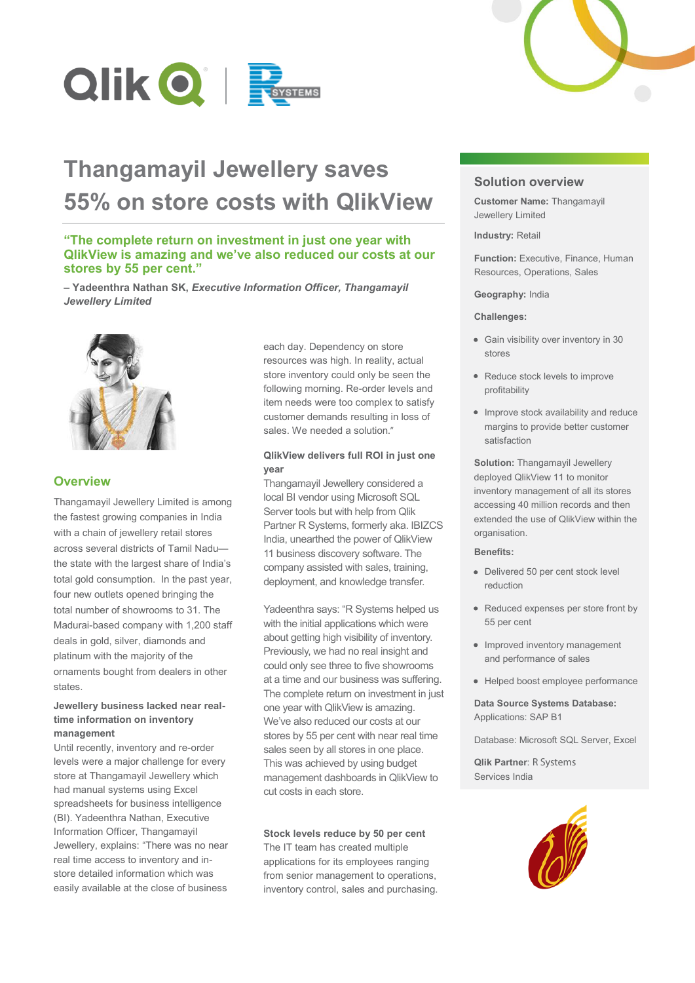

# **Thangamayil Jewellery saves 55% on store costs with QlikView**

# **"The complete return on investment in just one year with QlikView is amazing and we've also reduced our costs at our stores by 55 per cent."**

**– Yadeenthra Nathan SK,** *Executive Information Officer, Thangamayil Jewellery Limited*



# **Overview**

Thangamayil Jewellery Limited is among the fastest growing companies in India with a chain of jewellery retail stores across several districts of Tamil Nadu the state with the largest share of India's total gold consumption. In the past year, four new outlets opened bringing the total number of showrooms to 31. The Madurai-based company with 1,200 staff deals in gold, silver, diamonds and platinum with the majority of the ornaments bought from dealers in other states.

# **Jewellery business lacked near realtime information on inventory management**

Until recently, inventory and re-order levels were a major challenge for every store at Thangamayil Jewellery which had manual systems using Excel spreadsheets for business intelligence (BI). Yadeenthra Nathan, Executive Information Officer, Thangamayil Jewellery, explains: "There was no near real time access to inventory and instore detailed information which was easily available at the close of business

each day. Dependency on store resources was high. In reality, actual store inventory could only be seen the following morning. Re-order levels and item needs were too complex to satisfy customer demands resulting in loss of sales. We needed a solution."

### **QlikView delivers full ROI in just one year**

Thangamayil Jewellery considered a Thangamayil Jewellery considered a considered a local BI vendor using Microsoft SQL Server tools but with help from Qlik Partner R Systems, formerly aka. IBIZCS India, unearthed the power of QlikView 11 business discovery software. The company assisted with sales, training, deployment, and knowledge transfer.

Yadeenthra says: "R Systems helped us with the initial applications which were about getting high visibility of inventory. Previously, we had no real insight and Previously, we had no real insight and<br>could only see three to five showrooms at a time and our business was suffering. The complete return on investment in just one year with QlikView is amazing. We've also reduced our costs at our stores by 55 per cent with near real time sales seen by all stores in one place. sales seen by all stores in one place.<br>This was achieved by using budget management dashboards in QlikView to cut costs in each store.

### **Stock levels reduce by 50 per cent**

The IT team has created multiple applications for its employees ranging from senior management to operations, inventory control, sales and purchasing.



# **Solution overview**

**Customer Name:** Thangamayil Jewellery Limited

**Industry:** Retail

**Function:** Executive, Finance, Human Resources, Operations, Sales

#### **Geography:** India

#### **Challenges:**

- Gain visibility over inventory in 30 stores
- Reduce stock levels to improve profitability
- Improve stock availability and reduce margins to provide better customer satisfaction

**Solution:** Thangamayil Jewellery deployed QlikView 11 to monitor inventory management of all its stores accessing 40 million records and then extended the use of QlikView within the organisation.

#### **Benefits:**

- Delivered 50 per cent stock level reduction
- Reduced expenses per store front by 55 per cent
- Improved inventory management and performance of sales
- Helped boost employee performance

**Data Source Systems Database:** Applications: SAP B1

Database: Microsoft SQL Server, Excel

**Qlik Partner**: R Systems Services India